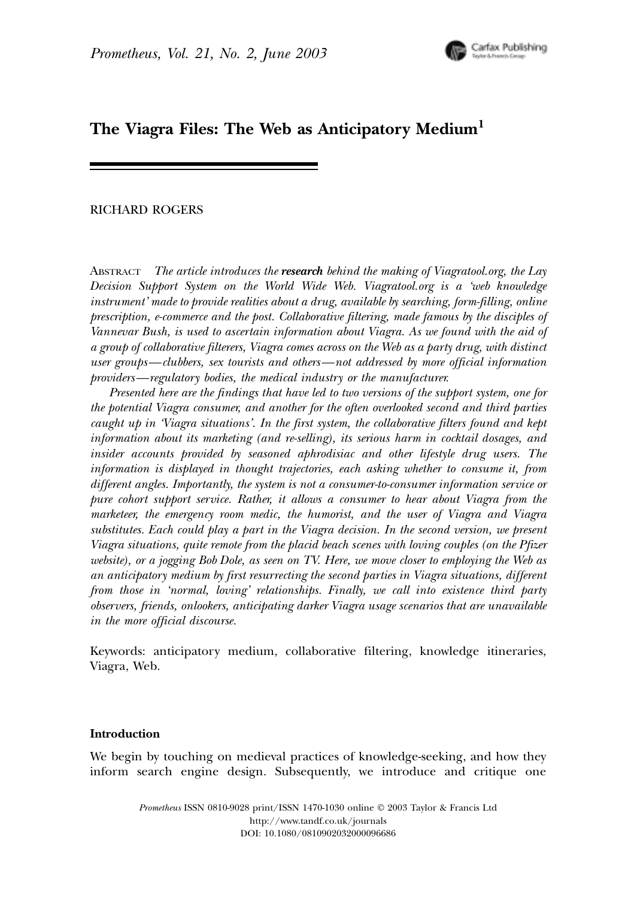

# **The Viagra Files: The Web as Anticipatory Medium<sup>1</sup>**

### RICHARD ROGERS

ABSTRACT *The article introduces the research behind the making of Viagratool.org, the Lay Decision Support System on the World Wide Web. Viagratool.org is a 'web knowledge instrument' made to provide realities about a drug, available by searching, form-filling, online prescription, e-commerce and the post. Collaborative filtering, made famous by the disciples of Vannevar Bush, is used to ascertain information about Viagra. As we found with the aid of a group of collaborative filterers, Viagra comes across on the Web as a party drug, with distinct user groups—clubbers, sex tourists and others—not addressed by more official information providers—regulatory bodies, the medical industry or the manufacturer.*

*Presented here are the findings that have led to two versions of the support system, one for the potential Viagra consumer, and another for the often overlooked second and third parties caught up in 'Viagra situations'. In the first system, the collaborative filters found and kept information about its marketing (and re-selling), its serious harm in cocktail dosages, and insider accounts provided by seasoned aphrodisiac and other lifestyle drug users. The information is displayed in thought trajectories, each asking whether to consume it, from different angles. Importantly, the system is not a consumer-to-consumer information service or pure cohort support service. Rather, it allows a consumer to hear about Viagra from the marketeer, the emergency room medic, the humorist, and the user of Viagra and Viagra substitutes. Each could play a part in the Viagra decision. In the second version, we present Viagra situations, quite remote from the placid beach scenes with loving couples (on the Pfizer website), or a jogging Bob Dole, as seen on TV. Here, we move closer to employing the Web as an anticipatory medium by first resurrecting the second parties in Viagra situations, different from those in 'normal, loving' relationships. Finally, we call into existence third party observers, friends, onlookers, anticipating darker Viagra usage scenarios that are unavailable in the more official discourse.*

Keywords: anticipatory medium, collaborative filtering, knowledge itineraries, Viagra, Web.

## **Introduction**

We begin by touching on medieval practices of knowledge-seeking, and how they inform search engine design. Subsequently, we introduce and critique one

> *Prometheus* ISSN 0810-9028 print/ISSN 1470-1030 online © 2003 Taylor & Francis Ltd http://www.tandf.co.uk/journals DOI: 10.1080/0810902032000096686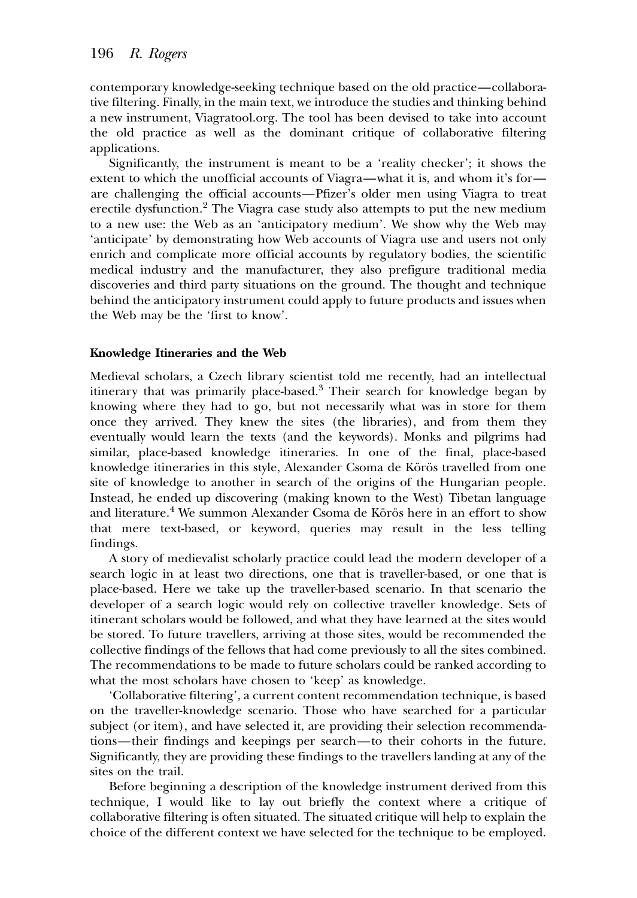contemporary knowledge-seeking technique based on the old practice—collaborative filtering. Finally, in the main text, we introduce the studies and thinking behind a new instrument, Viagratool.org. The tool has been devised to take into account the old practice as well as the dominant critique of collaborative filtering applications.

Significantly, the instrument is meant to be a 'reality checker'; it shows the extent to which the unofficial accounts of Viagra—what it is, and whom it's for are challenging the official accounts—Pfizer's older men using Viagra to treat erectile dysfunction.<sup>2</sup> The Viagra case study also attempts to put the new medium to a new use: the Web as an 'anticipatory medium'. We show why the Web may 'anticipate' by demonstrating how Web accounts of Viagra use and users not only enrich and complicate more official accounts by regulatory bodies, the scientific medical industry and the manufacturer, they also prefigure traditional media discoveries and third party situations on the ground. The thought and technique behind the anticipatory instrument could apply to future products and issues when the Web may be the 'first to know'.

## **Knowledge Itineraries and the Web**

Medieval scholars, a Czech library scientist told me recently, had an intellectual itinerary that was primarily place-based.<sup>3</sup> Their search for knowledge began by knowing where they had to go, but not necessarily what was in store for them once they arrived. They knew the sites (the libraries), and from them they eventually would learn the texts (and the keywords). Monks and pilgrims had similar, place-based knowledge itineraries. In one of the final, place-based knowledge itineraries in this style, Alexander Csoma de Körös travelled from one site of knowledge to another in search of the origins of the Hungarian people. Instead, he ended up discovering (making known to the West) Tibetan language and literature.<sup>4</sup> We summon Alexander Csoma de Körös here in an effort to show that mere text-based, or keyword, queries may result in the less telling findings.

A story of medievalist scholarly practice could lead the modern developer of a search logic in at least two directions, one that is traveller-based, or one that is place-based. Here we take up the traveller-based scenario. In that scenario the developer of a search logic would rely on collective traveller knowledge. Sets of itinerant scholars would be followed, and what they have learned at the sites would be stored. To future travellers, arriving at those sites, would be recommended the collective findings of the fellows that had come previously to all the sites combined. The recommendations to be made to future scholars could be ranked according to what the most scholars have chosen to 'keep' as knowledge.

'Collaborative filtering', a current content recommendation technique, is based on the traveller-knowledge scenario. Those who have searched for a particular subject (or item), and have selected it, are providing their selection recommendations—their findings and keepings per search—to their cohorts in the future. Significantly, they are providing these findings to the travellers landing at any of the sites on the trail.

Before beginning a description of the knowledge instrument derived from this technique, I would like to lay out briefly the context where a critique of collaborative filtering is often situated. The situated critique will help to explain the choice of the different context we have selected for the technique to be employed.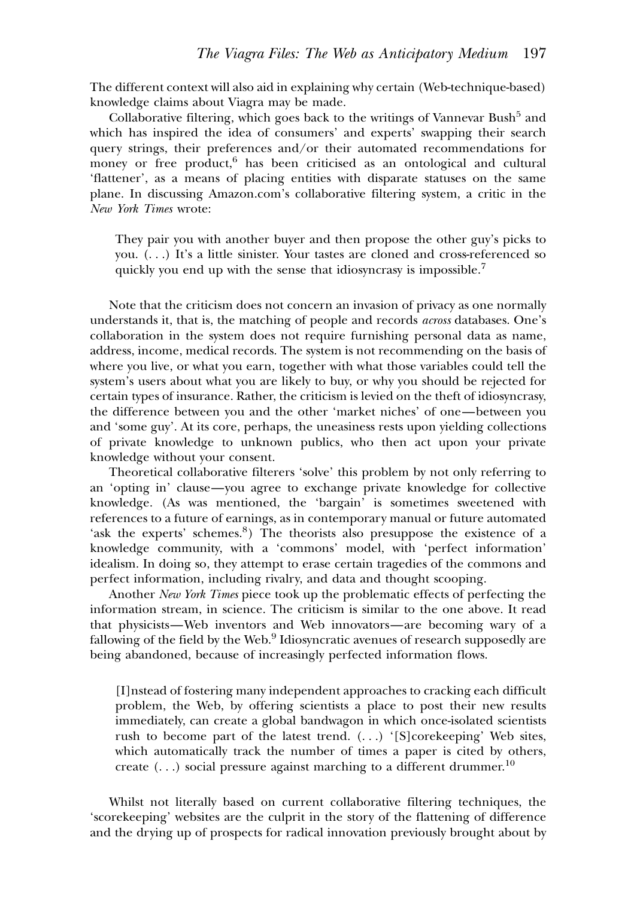The different context will also aid in explaining why certain (Web-technique-based) knowledge claims about Viagra may be made.

Collaborative filtering, which goes back to the writings of Vannevar Bush<sup>5</sup> and which has inspired the idea of consumers' and experts' swapping their search query strings, their preferences and/or their automated recommendations for money or free product, $6$  has been criticised as an ontological and cultural 'flattener', as a means of placing entities with disparate statuses on the same plane. In discussing Amazon.com's collaborative filtering system, a critic in the *New York Times* wrote:

They pair you with another buyer and then propose the other guy's picks to you. (. . .) It's a little sinister. Your tastes are cloned and cross-referenced so quickly you end up with the sense that idiosyncrasy is impossible.<sup>7</sup>

Note that the criticism does not concern an invasion of privacy as one normally understands it, that is, the matching of people and records *across* databases. One's collaboration in the system does not require furnishing personal data as name, address, income, medical records. The system is not recommending on the basis of where you live, or what you earn, together with what those variables could tell the system's users about what you are likely to buy, or why you should be rejected for certain types of insurance. Rather, the criticism is levied on the theft of idiosyncrasy, the difference between you and the other 'market niches' of one—between you and 'some guy'. At its core, perhaps, the uneasiness rests upon yielding collections of private knowledge to unknown publics, who then act upon your private knowledge without your consent.

Theoretical collaborative filterers 'solve' this problem by not only referring to an 'opting in' clause—you agree to exchange private knowledge for collective knowledge. (As was mentioned, the 'bargain' is sometimes sweetened with references to a future of earnings, as in contemporary manual or future automated 'ask the experts' schemes.8) The theorists also presuppose the existence of a knowledge community, with a 'commons' model, with 'perfect information' idealism. In doing so, they attempt to erase certain tragedies of the commons and perfect information, including rivalry, and data and thought scooping.

Another *New York Times* piece took up the problematic effects of perfecting the information stream, in science. The criticism is similar to the one above. It read that physicists—Web inventors and Web innovators—are becoming wary of a fallowing of the field by the Web.<sup>9</sup> Idiosyncratic avenues of research supposedly are being abandoned, because of increasingly perfected information flows.

[I]nstead of fostering many independent approaches to cracking each difficult problem, the Web, by offering scientists a place to post their new results immediately, can create a global bandwagon in which once-isolated scientists rush to become part of the latest trend. (. . .) '[S]corekeeping' Web sites, which automatically track the number of times a paper is cited by others, create  $(\ldots)$  social pressure against marching to a different drummer.<sup>10</sup>

Whilst not literally based on current collaborative filtering techniques, the 'scorekeeping' websites are the culprit in the story of the flattening of difference and the drying up of prospects for radical innovation previously brought about by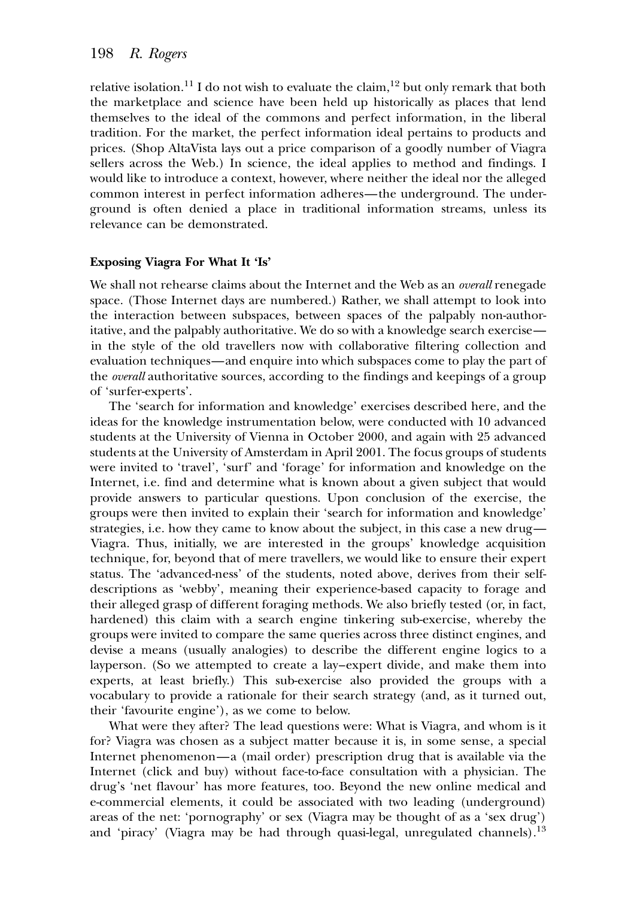relative isolation.<sup>11</sup> I do not wish to evaluate the claim,<sup>12</sup> but only remark that both the marketplace and science have been held up historically as places that lend themselves to the ideal of the commons and perfect information, in the liberal tradition. For the market, the perfect information ideal pertains to products and prices. (Shop AltaVista lays out a price comparison of a goodly number of Viagra sellers across the Web.) In science, the ideal applies to method and findings. I would like to introduce a context, however, where neither the ideal nor the alleged common interest in perfect information adheres—the underground. The underground is often denied a place in traditional information streams, unless its relevance can be demonstrated.

## **Exposing Viagra For What It 'Is'**

We shall not rehearse claims about the Internet and the Web as an *overall* renegade space. (Those Internet days are numbered.) Rather, we shall attempt to look into the interaction between subspaces, between spaces of the palpably non-authoritative, and the palpably authoritative. We do so with a knowledge search exercise in the style of the old travellers now with collaborative filtering collection and evaluation techniques—and enquire into which subspaces come to play the part of the *overall* authoritative sources, according to the findings and keepings of a group of 'surfer-experts'.

The 'search for information and knowledge' exercises described here, and the ideas for the knowledge instrumentation below, were conducted with 10 advanced students at the University of Vienna in October 2000, and again with 25 advanced students at the University of Amsterdam in April 2001. The focus groups of students were invited to 'travel', 'surf' and 'forage' for information and knowledge on the Internet, i.e. find and determine what is known about a given subject that would provide answers to particular questions. Upon conclusion of the exercise, the groups were then invited to explain their 'search for information and knowledge' strategies, i.e. how they came to know about the subject, in this case a new drug— Viagra. Thus, initially, we are interested in the groups' knowledge acquisition technique, for, beyond that of mere travellers, we would like to ensure their expert status. The 'advanced-ness' of the students, noted above, derives from their selfdescriptions as 'webby', meaning their experience-based capacity to forage and their alleged grasp of different foraging methods. We also briefly tested (or, in fact, hardened) this claim with a search engine tinkering sub-exercise, whereby the groups were invited to compare the same queries across three distinct engines, and devise a means (usually analogies) to describe the different engine logics to a layperson. (So we attempted to create a lay–expert divide, and make them into experts, at least briefly.) This sub-exercise also provided the groups with a vocabulary to provide a rationale for their search strategy (and, as it turned out, their 'favourite engine'), as we come to below.

What were they after? The lead questions were: What is Viagra, and whom is it for? Viagra was chosen as a subject matter because it is, in some sense, a special Internet phenomenon—a (mail order) prescription drug that is available via the Internet (click and buy) without face-to-face consultation with a physician. The drug's 'net flavour' has more features, too. Beyond the new online medical and e-commercial elements, it could be associated with two leading (underground) areas of the net: 'pornography' or sex (Viagra may be thought of as a 'sex drug') and 'piracy' (Viagra may be had through quasi-legal, unregulated channels).<sup>13</sup>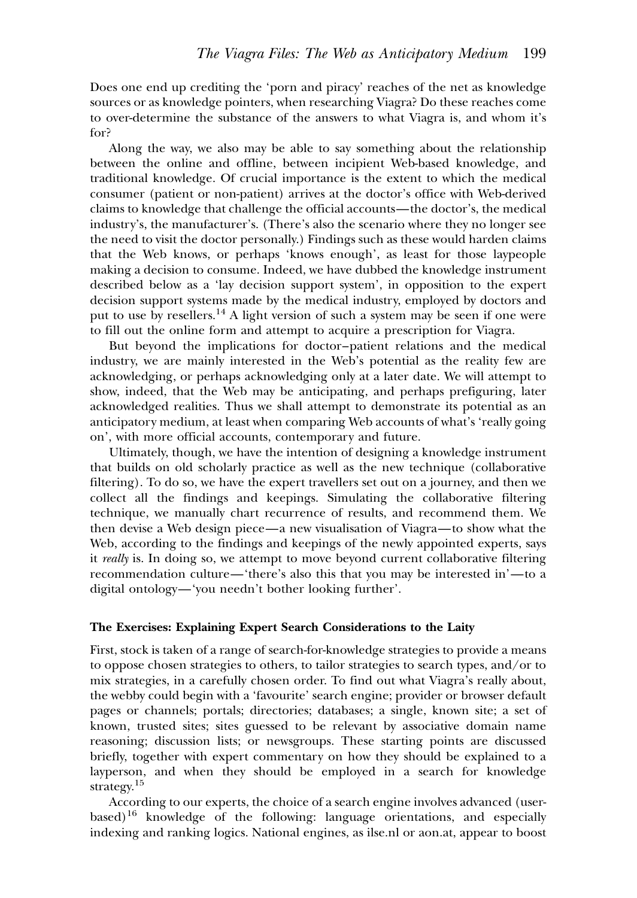Does one end up crediting the 'porn and piracy' reaches of the net as knowledge sources or as knowledge pointers, when researching Viagra? Do these reaches come to over-determine the substance of the answers to what Viagra is, and whom it's for?

Along the way, we also may be able to say something about the relationship between the online and offline, between incipient Web-based knowledge, and traditional knowledge. Of crucial importance is the extent to which the medical consumer (patient or non-patient) arrives at the doctor's office with Web-derived claims to knowledge that challenge the official accounts—the doctor's, the medical industry's, the manufacturer's. (There's also the scenario where they no longer see the need to visit the doctor personally.) Findings such as these would harden claims that the Web knows, or perhaps 'knows enough', as least for those laypeople making a decision to consume. Indeed, we have dubbed the knowledge instrument described below as a 'lay decision support system', in opposition to the expert decision support systems made by the medical industry, employed by doctors and put to use by resellers.<sup>14</sup> A light version of such a system may be seen if one were to fill out the online form and attempt to acquire a prescription for Viagra.

But beyond the implications for doctor–patient relations and the medical industry, we are mainly interested in the Web's potential as the reality few are acknowledging, or perhaps acknowledging only at a later date. We will attempt to show, indeed, that the Web may be anticipating, and perhaps prefiguring, later acknowledged realities. Thus we shall attempt to demonstrate its potential as an anticipatory medium, at least when comparing Web accounts of what's 'really going on', with more official accounts, contemporary and future.

Ultimately, though, we have the intention of designing a knowledge instrument that builds on old scholarly practice as well as the new technique (collaborative filtering). To do so, we have the expert travellers set out on a journey, and then we collect all the findings and keepings. Simulating the collaborative filtering technique, we manually chart recurrence of results, and recommend them. We then devise a Web design piece—a new visualisation of Viagra—to show what the Web, according to the findings and keepings of the newly appointed experts, says it *really* is. In doing so, we attempt to move beyond current collaborative filtering recommendation culture—'there's also this that you may be interested in'—to a digital ontology—'you needn't bother looking further'.

### **The Exercises: Explaining Expert Search Considerations to the Laity**

First, stock is taken of a range of search-for-knowledge strategies to provide a means to oppose chosen strategies to others, to tailor strategies to search types, and/or to mix strategies, in a carefully chosen order. To find out what Viagra's really about, the webby could begin with a 'favourite' search engine; provider or browser default pages or channels; portals; directories; databases; a single, known site; a set of known, trusted sites; sites guessed to be relevant by associative domain name reasoning; discussion lists; or newsgroups. These starting points are discussed briefly, together with expert commentary on how they should be explained to a layperson, and when they should be employed in a search for knowledge strategy.15

According to our experts, the choice of a search engine involves advanced (userbased)<sup>16</sup> knowledge of the following: language orientations, and especially indexing and ranking logics. National engines, as ilse.nl or aon.at, appear to boost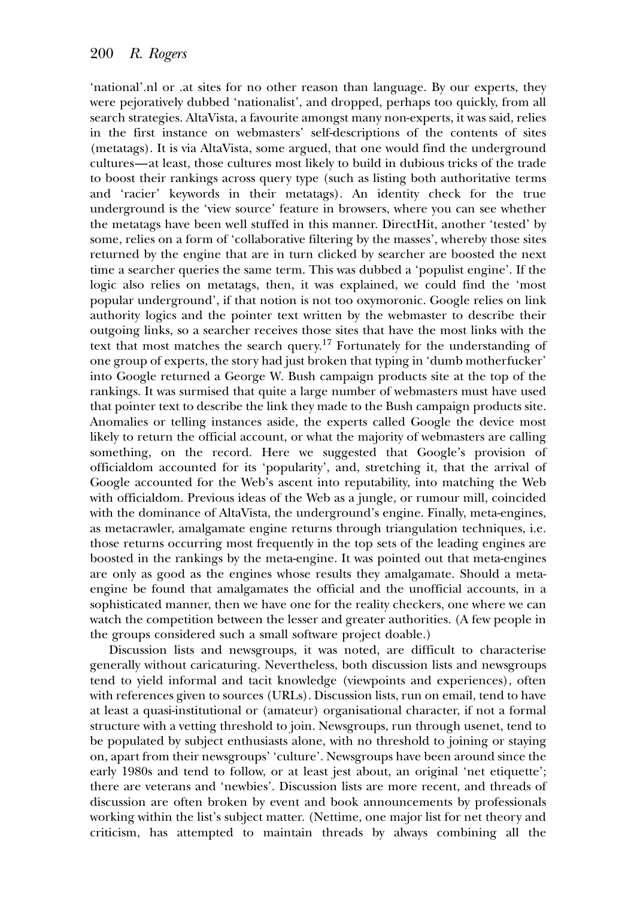'national'.nl or .at sites for no other reason than language. By our experts, they were pejoratively dubbed 'nationalist', and dropped, perhaps too quickly, from all search strategies. AltaVista, a favourite amongst many non-experts, it was said, relies in the first instance on webmasters' self-descriptions of the contents of sites (metatags). It is via AltaVista, some argued, that one would find the underground cultures—at least, those cultures most likely to build in dubious tricks of the trade to boost their rankings across query type (such as listing both authoritative terms and 'racier' keywords in their metatags). An identity check for the true underground is the 'view source' feature in browsers, where you can see whether the metatags have been well stuffed in this manner. DirectHit, another 'tested' by some, relies on a form of 'collaborative filtering by the masses', whereby those sites returned by the engine that are in turn clicked by searcher are boosted the next time a searcher queries the same term. This was dubbed a 'populist engine'. If the logic also relies on metatags, then, it was explained, we could find the 'most popular underground', if that notion is not too oxymoronic. Google relies on link authority logics and the pointer text written by the webmaster to describe their outgoing links, so a searcher receives those sites that have the most links with the text that most matches the search query.<sup>17</sup> Fortunately for the understanding of one group of experts, the story had just broken that typing in 'dumb motherfucker' into Google returned a George W. Bush campaign products site at the top of the rankings. It was surmised that quite a large number of webmasters must have used that pointer text to describe the link they made to the Bush campaign products site. Anomalies or telling instances aside, the experts called Google the device most likely to return the official account, or what the majority of webmasters are calling something, on the record. Here we suggested that Google's provision of officialdom accounted for its 'popularity', and, stretching it, that the arrival of Google accounted for the Web's ascent into reputability, into matching the Web with officialdom. Previous ideas of the Web as a jungle, or rumour mill, coincided with the dominance of AltaVista, the underground's engine. Finally, meta-engines, as metacrawler, amalgamate engine returns through triangulation techniques, i.e. those returns occurring most frequently in the top sets of the leading engines are boosted in the rankings by the meta-engine. It was pointed out that meta-engines are only as good as the engines whose results they amalgamate. Should a metaengine be found that amalgamates the official and the unofficial accounts, in a sophisticated manner, then we have one for the reality checkers, one where we can watch the competition between the lesser and greater authorities. (A few people in the groups considered such a small software project doable.)

Discussion lists and newsgroups, it was noted, are difficult to characterise generally without caricaturing. Nevertheless, both discussion lists and newsgroups tend to yield informal and tacit knowledge (viewpoints and experiences), often with references given to sources (URLs). Discussion lists, run on email, tend to have at least a quasi-institutional or (amateur) organisational character, if not a formal structure with a vetting threshold to join. Newsgroups, run through usenet, tend to be populated by subject enthusiasts alone, with no threshold to joining or staying on, apart from their newsgroups' 'culture'. Newsgroups have been around since the early 1980s and tend to follow, or at least jest about, an original 'net etiquette'; there are veterans and 'newbies'. Discussion lists are more recent, and threads of discussion are often broken by event and book announcements by professionals working within the list's subject matter. (Nettime, one major list for net theory and criticism, has attempted to maintain threads by always combining all the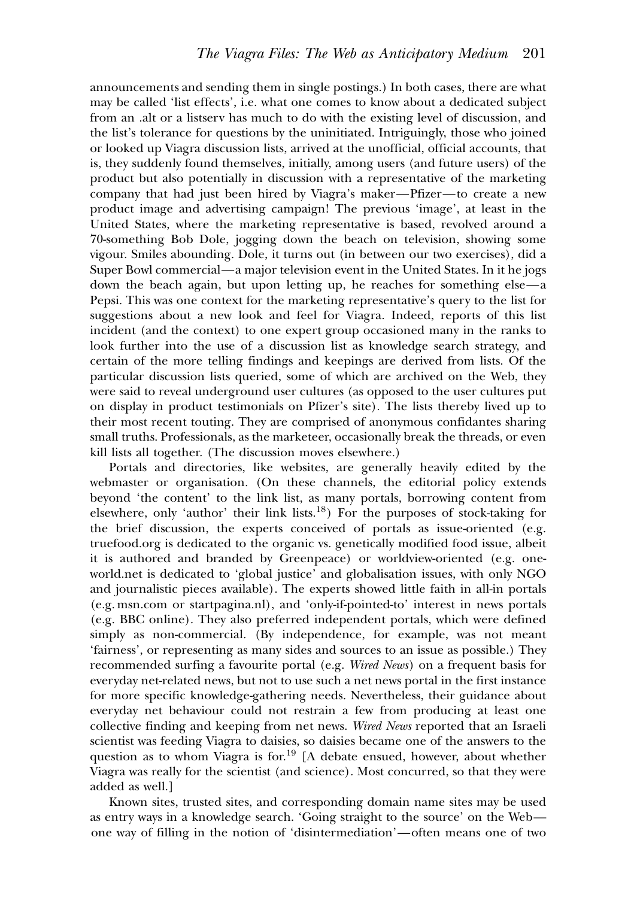announcements and sending them in single postings.) In both cases, there are what may be called 'list effects', i.e. what one comes to know about a dedicated subject from an .alt or a listserv has much to do with the existing level of discussion, and the list's tolerance for questions by the uninitiated. Intriguingly, those who joined or looked up Viagra discussion lists, arrived at the unofficial, official accounts, that is, they suddenly found themselves, initially, among users (and future users) of the product but also potentially in discussion with a representative of the marketing company that had just been hired by Viagra's maker—Pfizer—to create a new product image and advertising campaign! The previous 'image', at least in the United States, where the marketing representative is based, revolved around a 70-something Bob Dole, jogging down the beach on television, showing some vigour. Smiles abounding. Dole, it turns out (in between our two exercises), did a Super Bowl commercial—a major television event in the United States. In it he jogs down the beach again, but upon letting up, he reaches for something else—a Pepsi. This was one context for the marketing representative's query to the list for suggestions about a new look and feel for Viagra. Indeed, reports of this list incident (and the context) to one expert group occasioned many in the ranks to look further into the use of a discussion list as knowledge search strategy, and certain of the more telling findings and keepings are derived from lists. Of the particular discussion lists queried, some of which are archived on the Web, they were said to reveal underground user cultures (as opposed to the user cultures put on display in product testimonials on Pfizer's site). The lists thereby lived up to their most recent touting. They are comprised of anonymous confidantes sharing small truths. Professionals, as the marketeer, occasionally break the threads, or even kill lists all together. (The discussion moves elsewhere.)

Portals and directories, like websites, are generally heavily edited by the webmaster or organisation. (On these channels, the editorial policy extends beyond 'the content' to the link list, as many portals, borrowing content from elsewhere, only 'author' their link lists.<sup>18</sup>) For the purposes of stock-taking for the brief discussion, the experts conceived of portals as issue-oriented (e.g. truefood.org is dedicated to the organic vs. genetically modified food issue, albeit it is authored and branded by Greenpeace) or worldview-oriented (e.g. oneworld.net is dedicated to 'global justice' and globalisation issues, with only NGO and journalistic pieces available). The experts showed little faith in all-in portals (e.g. msn.com or startpagina.nl), and 'only-if-pointed-to' interest in news portals (e.g. BBC online). They also preferred independent portals, which were defined simply as non-commercial. (By independence, for example, was not meant 'fairness', or representing as many sides and sources to an issue as possible.) They recommended surfing a favourite portal (e.g. *Wired News*) on a frequent basis for everyday net-related news, but not to use such a net news portal in the first instance for more specific knowledge-gathering needs. Nevertheless, their guidance about everyday net behaviour could not restrain a few from producing at least one collective finding and keeping from net news. *Wired News* reported that an Israeli scientist was feeding Viagra to daisies, so daisies became one of the answers to the question as to whom Viagra is for.<sup>19</sup> [A debate ensued, however, about whether Viagra was really for the scientist (and science). Most concurred, so that they were added as well.]

Known sites, trusted sites, and corresponding domain name sites may be used as entry ways in a knowledge search. 'Going straight to the source' on the Web one way of filling in the notion of 'disintermediation'—often means one of two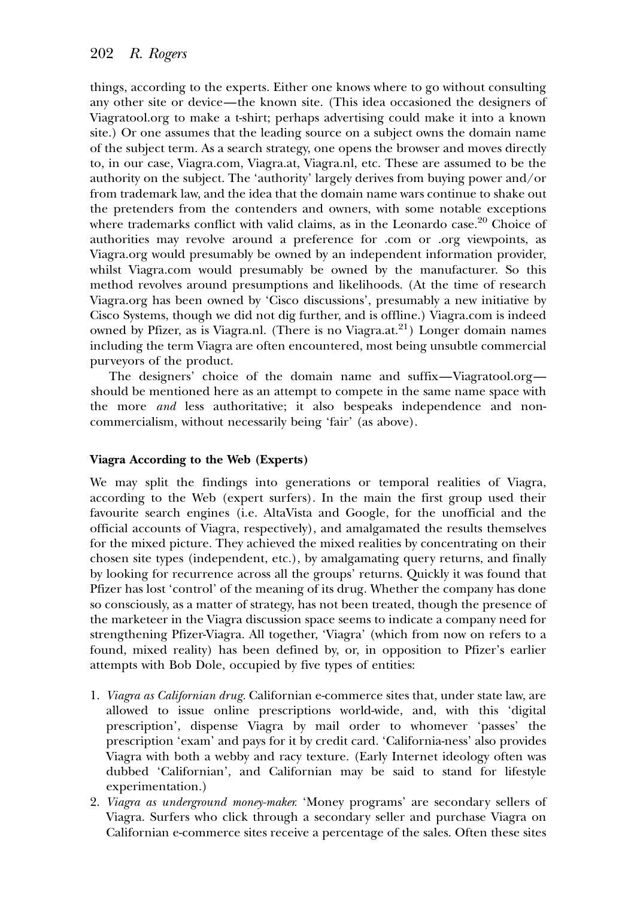things, according to the experts. Either one knows where to go without consulting any other site or device—the known site. (This idea occasioned the designers of Viagratool.org to make a t-shirt; perhaps advertising could make it into a known site.) Or one assumes that the leading source on a subject owns the domain name of the subject term. As a search strategy, one opens the browser and moves directly to, in our case, Viagra.com, Viagra.at, Viagra.nl, etc. These are assumed to be the authority on the subject. The 'authority' largely derives from buying power and/or from trademark law, and the idea that the domain name wars continue to shake out the pretenders from the contenders and owners, with some notable exceptions where trademarks conflict with valid claims, as in the Leonardo case.<sup>20</sup> Choice of authorities may revolve around a preference for .com or .org viewpoints, as Viagra.org would presumably be owned by an independent information provider, whilst Viagra.com would presumably be owned by the manufacturer. So this method revolves around presumptions and likelihoods. (At the time of research Viagra.org has been owned by 'Cisco discussions', presumably a new initiative by Cisco Systems, though we did not dig further, and is offline.) Viagra.com is indeed owned by Pfizer, as is Viagra.nl. (There is no Viagra.at. $21$ ) Longer domain names including the term Viagra are often encountered, most being unsubtle commercial purveyors of the product.

The designers' choice of the domain name and suffix—Viagratool.org should be mentioned here as an attempt to compete in the same name space with the more *and* less authoritative; it also bespeaks independence and noncommercialism, without necessarily being 'fair' (as above).

## **Viagra According to the Web (Experts)**

We may split the findings into generations or temporal realities of Viagra, according to the Web (expert surfers). In the main the first group used their favourite search engines (i.e. AltaVista and Google, for the unofficial and the official accounts of Viagra, respectively), and amalgamated the results themselves for the mixed picture. They achieved the mixed realities by concentrating on their chosen site types (independent, etc.), by amalgamating query returns, and finally by looking for recurrence across all the groups' returns. Quickly it was found that Pfizer has lost 'control' of the meaning of its drug. Whether the company has done so consciously, as a matter of strategy, has not been treated, though the presence of the marketeer in the Viagra discussion space seems to indicate a company need for strengthening Pfizer-Viagra. All together, 'Viagra' (which from now on refers to a found, mixed reality) has been defined by, or, in opposition to Pfizer's earlier attempts with Bob Dole, occupied by five types of entities:

- 1. *Viagra as Californian drug.* Californian e-commerce sites that, under state law, are allowed to issue online prescriptions world-wide, and, with this 'digital prescription', dispense Viagra by mail order to whomever 'passes' the prescription 'exam' and pays for it by credit card. 'California-ness' also provides Viagra with both a webby and racy texture. (Early Internet ideology often was dubbed 'Californian', and Californian may be said to stand for lifestyle experimentation.)
- 2. *Viagra as underground money-maker.* 'Money programs' are secondary sellers of Viagra. Surfers who click through a secondary seller and purchase Viagra on Californian e-commerce sites receive a percentage of the sales. Often these sites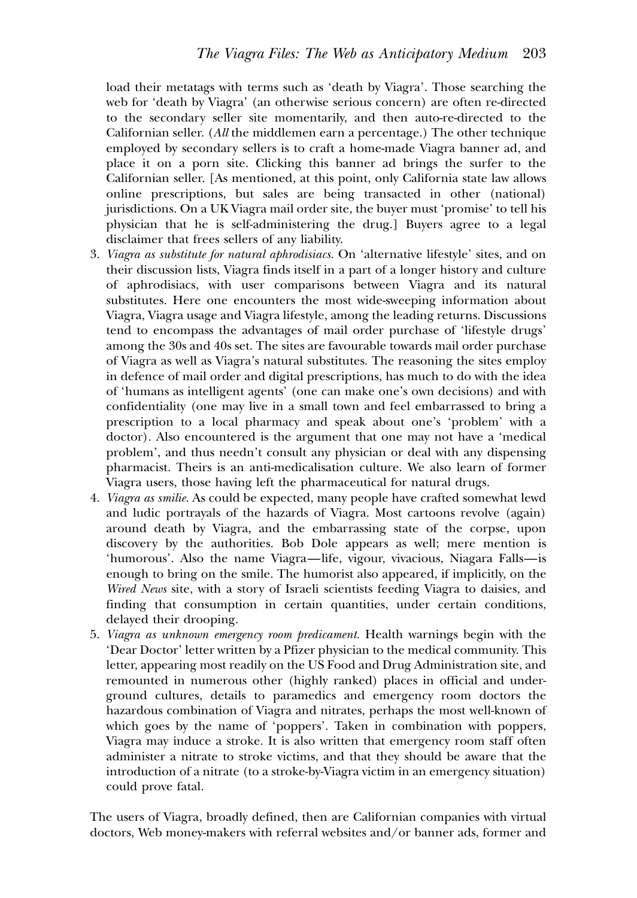load their metatags with terms such as 'death by Viagra'. Those searching the web for 'death by Viagra' (an otherwise serious concern) are often re-directed to the secondary seller site momentarily, and then auto-re-directed to the Californian seller. (*All* the middlemen earn a percentage.) The other technique employed by secondary sellers is to craft a home-made Viagra banner ad, and place it on a porn site. Clicking this banner ad brings the surfer to the Californian seller. [As mentioned, at this point, only California state law allows online prescriptions, but sales are being transacted in other (national) jurisdictions. On a UK Viagra mail order site, the buyer must 'promise' to tell his physician that he is self-administering the drug.] Buyers agree to a legal disclaimer that frees sellers of any liability.

- 3. *Viagra as substitute for natural aphrodisiacs.* On 'alternative lifestyle' sites, and on their discussion lists, Viagra finds itself in a part of a longer history and culture of aphrodisiacs, with user comparisons between Viagra and its natural substitutes. Here one encounters the most wide-sweeping information about Viagra, Viagra usage and Viagra lifestyle, among the leading returns. Discussions tend to encompass the advantages of mail order purchase of 'lifestyle drugs' among the 30s and 40s set. The sites are favourable towards mail order purchase of Viagra as well as Viagra's natural substitutes. The reasoning the sites employ in defence of mail order and digital prescriptions, has much to do with the idea of 'humans as intelligent agents' (one can make one's own decisions) and with confidentiality (one may live in a small town and feel embarrassed to bring a prescription to a local pharmacy and speak about one's 'problem' with a doctor). Also encountered is the argument that one may not have a 'medical problem', and thus needn't consult any physician or deal with any dispensing pharmacist. Theirs is an anti-medicalisation culture. We also learn of former Viagra users, those having left the pharmaceutical for natural drugs.
- 4. *Viagra as smilie.* As could be expected, many people have crafted somewhat lewd and ludic portrayals of the hazards of Viagra. Most cartoons revolve (again) around death by Viagra, and the embarrassing state of the corpse, upon discovery by the authorities. Bob Dole appears as well; mere mention is 'humorous'. Also the name Viagra—life, vigour, vivacious, Niagara Falls—is enough to bring on the smile. The humorist also appeared, if implicitly, on the *Wired News* site, with a story of Israeli scientists feeding Viagra to daisies, and finding that consumption in certain quantities, under certain conditions, delayed their drooping.
- 5. *Viagra as unknown emergency room predicament.* Health warnings begin with the 'Dear Doctor' letter written by a Pfizer physician to the medical community. This letter, appearing most readily on the US Food and Drug Administration site, and remounted in numerous other (highly ranked) places in official and underground cultures, details to paramedics and emergency room doctors the hazardous combination of Viagra and nitrates, perhaps the most well-known of which goes by the name of 'poppers'. Taken in combination with poppers, Viagra may induce a stroke. It is also written that emergency room staff often administer a nitrate to stroke victims, and that they should be aware that the introduction of a nitrate (to a stroke-by-Viagra victim in an emergency situation) could prove fatal.

The users of Viagra, broadly defined, then are Californian companies with virtual doctors, Web money-makers with referral websites and/or banner ads, former and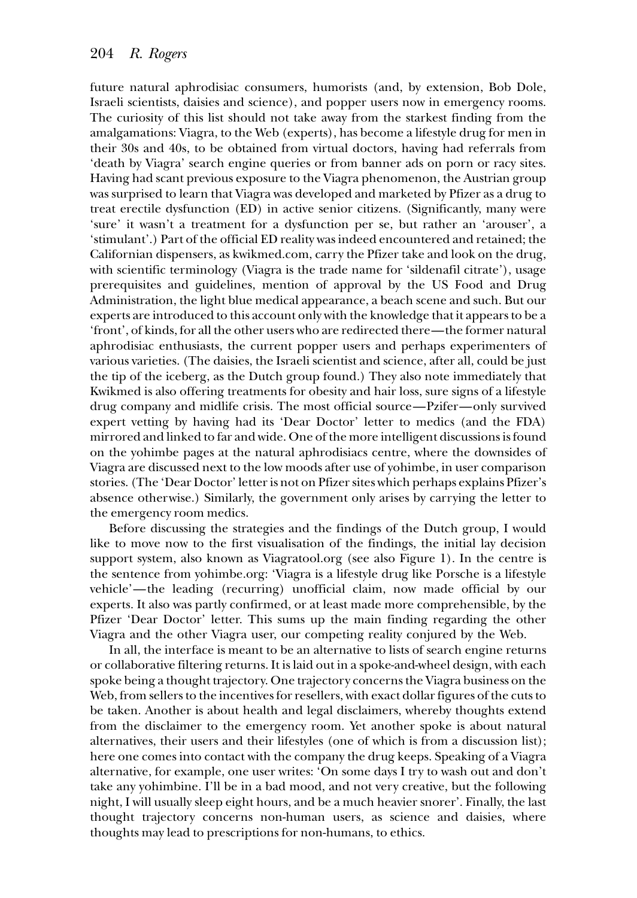future natural aphrodisiac consumers, humorists (and, by extension, Bob Dole, Israeli scientists, daisies and science), and popper users now in emergency rooms. The curiosity of this list should not take away from the starkest finding from the amalgamations: Viagra, to the Web (experts), has become a lifestyle drug for men in their 30s and 40s, to be obtained from virtual doctors, having had referrals from 'death by Viagra' search engine queries or from banner ads on porn or racy sites. Having had scant previous exposure to the Viagra phenomenon, the Austrian group was surprised to learn that Viagra was developed and marketed by Pfizer as a drug to treat erectile dysfunction (ED) in active senior citizens. (Significantly, many were 'sure' it wasn't a treatment for a dysfunction per se, but rather an 'arouser', a 'stimulant'.) Part of the official ED reality was indeed encountered and retained; the Californian dispensers, as kwikmed.com, carry the Pfizer take and look on the drug, with scientific terminology (Viagra is the trade name for 'sildenafil citrate'), usage prerequisites and guidelines, mention of approval by the US Food and Drug Administration, the light blue medical appearance, a beach scene and such. But our experts are introduced to this account only with the knowledge that it appears to be a 'front', of kinds, for all the other users who are redirected there—the former natural aphrodisiac enthusiasts, the current popper users and perhaps experimenters of various varieties. (The daisies, the Israeli scientist and science, after all, could be just the tip of the iceberg, as the Dutch group found.) They also note immediately that Kwikmed is also offering treatments for obesity and hair loss, sure signs of a lifestyle drug company and midlife crisis. The most official source—Pzifer—only survived expert vetting by having had its 'Dear Doctor' letter to medics (and the FDA) mirrored and linked to far and wide. One of the more intelligent discussions is found on the yohimbe pages at the natural aphrodisiacs centre, where the downsides of Viagra are discussed next to the low moods after use of yohimbe, in user comparison stories. (The 'Dear Doctor' letter is not on Pfizer sites which perhaps explains Pfizer's absence otherwise.) Similarly, the government only arises by carrying the letter to the emergency room medics.

Before discussing the strategies and the findings of the Dutch group, I would like to move now to the first visualisation of the findings, the initial lay decision support system, also known as Viagratool.org (see also Figure 1). In the centre is the sentence from yohimbe.org: 'Viagra is a lifestyle drug like Porsche is a lifestyle vehicle'—the leading (recurring) unofficial claim, now made official by our experts. It also was partly confirmed, or at least made more comprehensible, by the Pfizer 'Dear Doctor' letter. This sums up the main finding regarding the other Viagra and the other Viagra user, our competing reality conjured by the Web.

In all, the interface is meant to be an alternative to lists of search engine returns or collaborative filtering returns. It is laid out in a spoke-and-wheel design, with each spoke being a thought trajectory. One trajectory concerns the Viagra business on the Web, from sellers to the incentives for resellers, with exact dollar figures of the cuts to be taken. Another is about health and legal disclaimers, whereby thoughts extend from the disclaimer to the emergency room. Yet another spoke is about natural alternatives, their users and their lifestyles (one of which is from a discussion list); here one comes into contact with the company the drug keeps. Speaking of a Viagra alternative, for example, one user writes: 'On some days I try to wash out and don't take any yohimbine. I'll be in a bad mood, and not very creative, but the following night, I will usually sleep eight hours, and be a much heavier snorer'. Finally, the last thought trajectory concerns non-human users, as science and daisies, where thoughts may lead to prescriptions for non-humans, to ethics.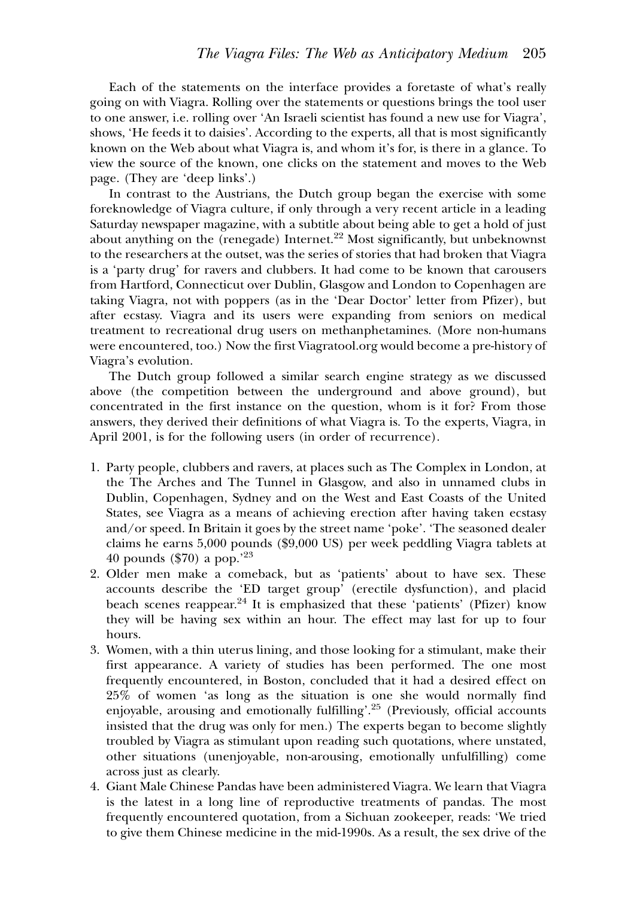Each of the statements on the interface provides a foretaste of what's really going on with Viagra. Rolling over the statements or questions brings the tool user to one answer, i.e. rolling over 'An Israeli scientist has found a new use for Viagra', shows, 'He feeds it to daisies'. According to the experts, all that is most significantly known on the Web about what Viagra is, and whom it's for, is there in a glance. To view the source of the known, one clicks on the statement and moves to the Web page. (They are 'deep links'.)

In contrast to the Austrians, the Dutch group began the exercise with some foreknowledge of Viagra culture, if only through a very recent article in a leading Saturday newspaper magazine, with a subtitle about being able to get a hold of just about anything on the (renegade) Internet.<sup>22</sup> Most significantly, but unbeknownst to the researchers at the outset, was the series of stories that had broken that Viagra is a 'party drug' for ravers and clubbers. It had come to be known that carousers from Hartford, Connecticut over Dublin, Glasgow and London to Copenhagen are taking Viagra, not with poppers (as in the 'Dear Doctor' letter from Pfizer), but after ecstasy. Viagra and its users were expanding from seniors on medical treatment to recreational drug users on methanphetamines. (More non-humans were encountered, too.) Now the first Viagratool.org would become a pre-history of Viagra's evolution.

The Dutch group followed a similar search engine strategy as we discussed above (the competition between the underground and above ground), but concentrated in the first instance on the question, whom is it for? From those answers, they derived their definitions of what Viagra is. To the experts, Viagra, in April 2001, is for the following users (in order of recurrence).

- 1. Party people, clubbers and ravers, at places such as The Complex in London, at the The Arches and The Tunnel in Glasgow, and also in unnamed clubs in Dublin, Copenhagen, Sydney and on the West and East Coasts of the United States, see Viagra as a means of achieving erection after having taken ecstasy and/or speed. In Britain it goes by the street name 'poke'. 'The seasoned dealer claims he earns 5,000 pounds (\$9,000 US) per week peddling Viagra tablets at 40 pounds (\$70) a pop.' 23
- 2. Older men make a comeback, but as 'patients' about to have sex. These accounts describe the 'ED target group' (erectile dysfunction), and placid beach scenes reappear.<sup>24</sup> It is emphasized that these 'patients' (Pfizer) know they will be having sex within an hour. The effect may last for up to four hours.
- 3. Women, with a thin uterus lining, and those looking for a stimulant, make their first appearance. A variety of studies has been performed. The one most frequently encountered, in Boston, concluded that it had a desired effect on 25% of women 'as long as the situation is one she would normally find enjoyable, arousing and emotionally fulfilling'. <sup>25</sup> (Previously, official accounts insisted that the drug was only for men.) The experts began to become slightly troubled by Viagra as stimulant upon reading such quotations, where unstated, other situations (unenjoyable, non-arousing, emotionally unfulfilling) come across just as clearly.
- 4. Giant Male Chinese Pandas have been administered Viagra. We learn that Viagra is the latest in a long line of reproductive treatments of pandas. The most frequently encountered quotation, from a Sichuan zookeeper, reads: 'We tried to give them Chinese medicine in the mid-1990s. As a result, the sex drive of the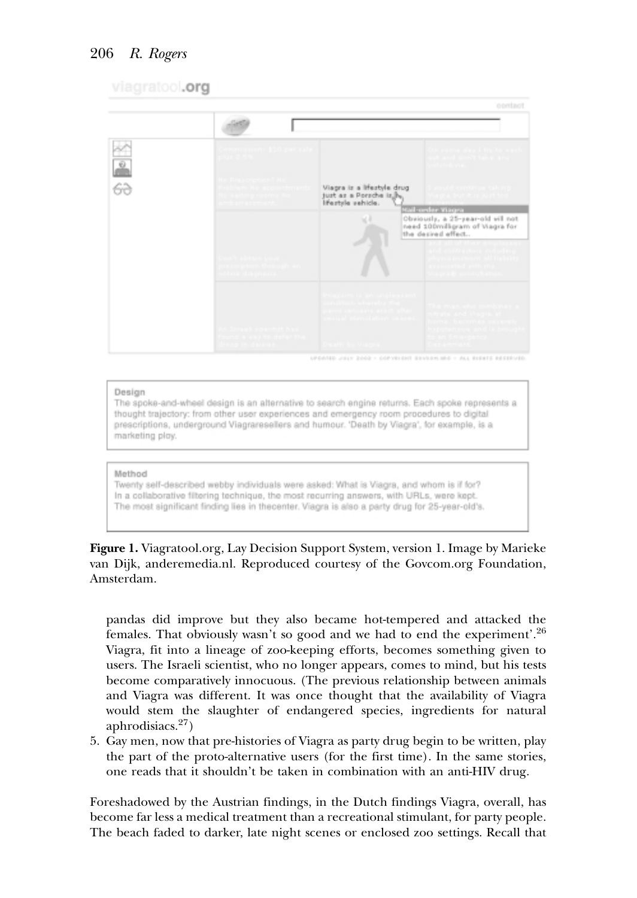## viagratoo.org

|               |                                                       | oontact                                                                                                               |
|---------------|-------------------------------------------------------|-----------------------------------------------------------------------------------------------------------------------|
|               |                                                       |                                                                                                                       |
| $\frac{1}{2}$ | Viagra iz a lifeztyle drug<br>just as a Porsche is by |                                                                                                                       |
|               |                                                       | <b>Hail-order Viagra</b><br>Chriously, a 25-year-old vill not<br>need 100miligram of Viagra for<br>the desired effect |
|               |                                                       |                                                                                                                       |

#### Design

The spoke-and-wheel design is an alternative to search engine returns. Each spoke represents a thought trajectory: from other user experiences and emergency room procedures to digital prescriptions, underground Viagraresellers and humour. 'Death by Viagra', for example, is a marketing play.

#### Method

Twenty self-described webby individuals were asked: What is Viagra, and whom is if for? In a collaborative filtering technique, the most recurring answers, with URLs, were kept. The most significant finding lies in thecenter. Viagra is also a party drug for 25-year-old's.

**Figure 1.** Viagratool.org, Lay Decision Support System, version 1. Image by Marieke van Dijk, anderemedia.nl. Reproduced courtesy of the Govcom.org Foundation, Amsterdam.

pandas did improve but they also became hot-tempered and attacked the females. That obviously wasn't so good and we had to end the experiment'.<sup>26</sup> Viagra, fit into a lineage of zoo-keeping efforts, becomes something given to users. The Israeli scientist, who no longer appears, comes to mind, but his tests become comparatively innocuous. (The previous relationship between animals and Viagra was different. It was once thought that the availability of Viagra would stem the slaughter of endangered species, ingredients for natural aphrodisiacs. $27$ )

5. Gay men, now that pre-histories of Viagra as party drug begin to be written, play the part of the proto-alternative users (for the first time). In the same stories, one reads that it shouldn't be taken in combination with an anti-HIV drug.

Foreshadowed by the Austrian findings, in the Dutch findings Viagra, overall, has become far less a medical treatment than a recreational stimulant, for party people. The beach faded to darker, late night scenes or enclosed zoo settings. Recall that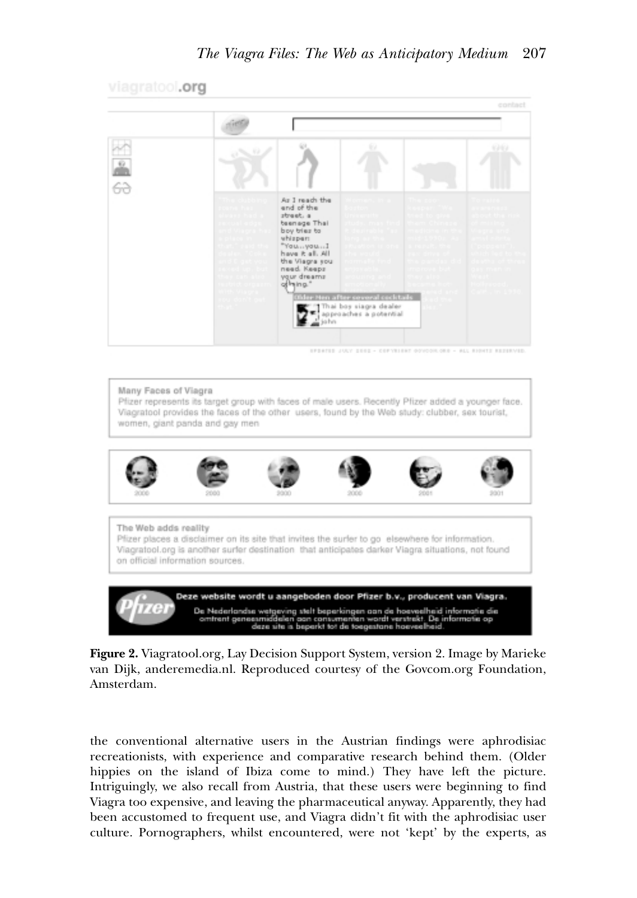



women, giant panda and gay men







**Figure 2.** Viagratool.org, Lay Decision Support System, version 2. Image by Marieke van Dijk, anderemedia.nl. Reproduced courtesy of the Govcom.org Foundation, Amsterdam.

the conventional alternative users in the Austrian findings were aphrodisiac recreationists, with experience and comparative research behind them. (Older hippies on the island of Ibiza come to mind.) They have left the picture. Intriguingly, we also recall from Austria, that these users were beginning to find Viagra too expensive, and leaving the pharmaceutical anyway. Apparently, they had been accustomed to frequent use, and Viagra didn't fit with the aphrodisiac user culture. Pornographers, whilst encountered, were not 'kept' by the experts, as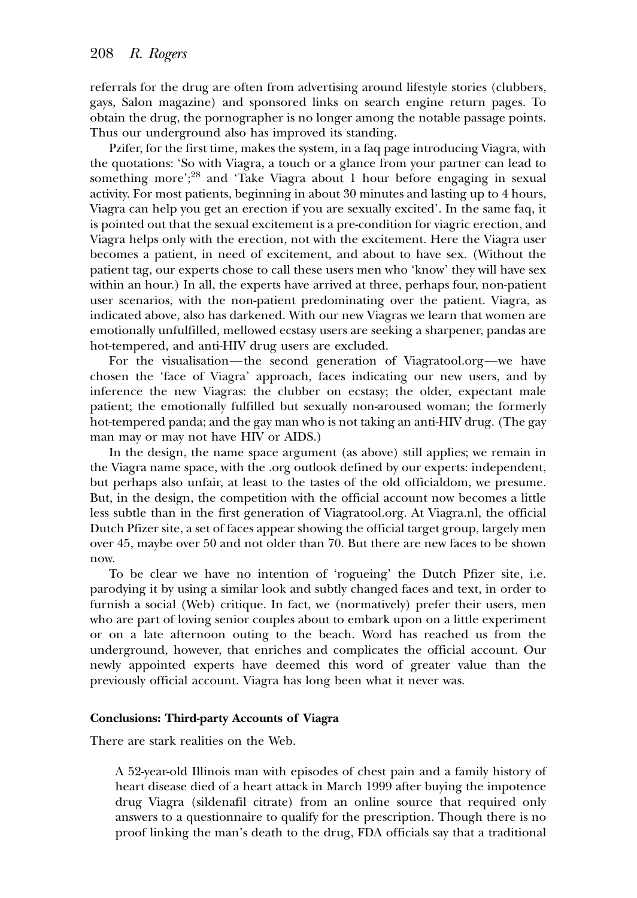referrals for the drug are often from advertising around lifestyle stories (clubbers, gays, Salon magazine) and sponsored links on search engine return pages. To obtain the drug, the pornographer is no longer among the notable passage points. Thus our underground also has improved its standing.

Pzifer, for the first time, makes the system, in a faq page introducing Viagra, with the quotations: 'So with Viagra, a touch or a glance from your partner can lead to something more';<sup>28</sup> and 'Take Viagra about 1 hour before engaging in sexual activity. For most patients, beginning in about 30 minutes and lasting up to 4 hours, Viagra can help you get an erection if you are sexually excited'. In the same faq, it is pointed out that the sexual excitement is a pre-condition for viagric erection, and Viagra helps only with the erection, not with the excitement. Here the Viagra user becomes a patient, in need of excitement, and about to have sex. (Without the patient tag, our experts chose to call these users men who 'know' they will have sex within an hour.) In all, the experts have arrived at three, perhaps four, non-patient user scenarios, with the non-patient predominating over the patient. Viagra, as indicated above, also has darkened. With our new Viagras we learn that women are emotionally unfulfilled, mellowed ecstasy users are seeking a sharpener, pandas are hot-tempered, and anti-HIV drug users are excluded.

For the visualisation—the second generation of Viagratool.org—we have chosen the 'face of Viagra' approach, faces indicating our new users, and by inference the new Viagras: the clubber on ecstasy; the older, expectant male patient; the emotionally fulfilled but sexually non-aroused woman; the formerly hot-tempered panda; and the gay man who is not taking an anti-HIV drug. (The gay man may or may not have HIV or AIDS.)

In the design, the name space argument (as above) still applies; we remain in the Viagra name space, with the .org outlook defined by our experts: independent, but perhaps also unfair, at least to the tastes of the old officialdom, we presume. But, in the design, the competition with the official account now becomes a little less subtle than in the first generation of Viagratool.org. At Viagra.nl, the official Dutch Pfizer site, a set of faces appear showing the official target group, largely men over 45, maybe over 50 and not older than 70. But there are new faces to be shown now.

To be clear we have no intention of 'rogueing' the Dutch Pfizer site, i.e. parodying it by using a similar look and subtly changed faces and text, in order to furnish a social (Web) critique. In fact, we (normatively) prefer their users, men who are part of loving senior couples about to embark upon on a little experiment or on a late afternoon outing to the beach. Word has reached us from the underground, however, that enriches and complicates the official account. Our newly appointed experts have deemed this word of greater value than the previously official account. Viagra has long been what it never was.

## **Conclusions: Third-party Accounts of Viagra**

There are stark realities on the Web.

A 52-year-old Illinois man with episodes of chest pain and a family history of heart disease died of a heart attack in March 1999 after buying the impotence drug Viagra (sildenafil citrate) from an online source that required only answers to a questionnaire to qualify for the prescription. Though there is no proof linking the man's death to the drug, FDA officials say that a traditional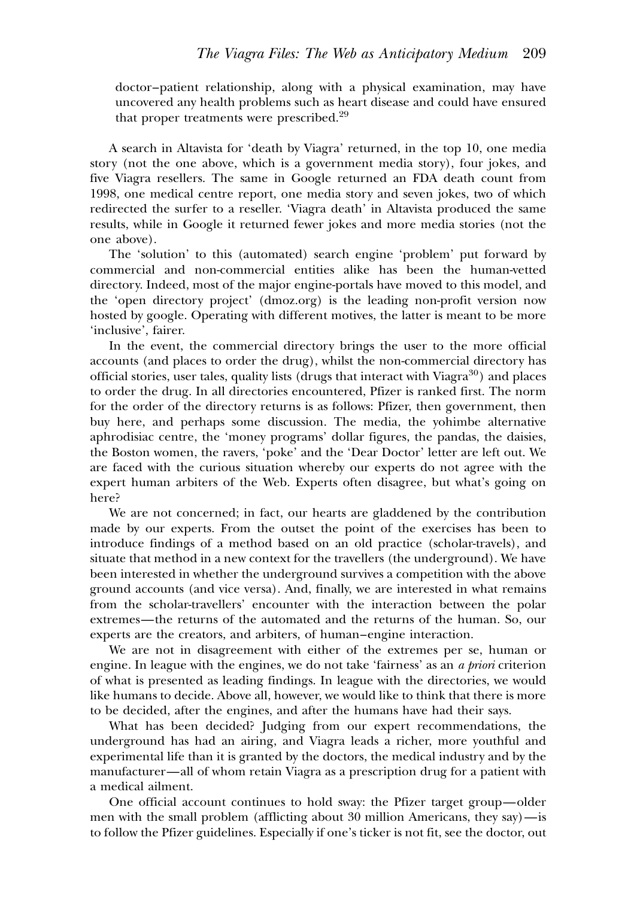doctor–patient relationship, along with a physical examination, may have uncovered any health problems such as heart disease and could have ensured that proper treatments were prescribed. $29$ 

A search in Altavista for 'death by Viagra' returned, in the top 10, one media story (not the one above, which is a government media story), four jokes, and five Viagra resellers. The same in Google returned an FDA death count from 1998, one medical centre report, one media story and seven jokes, two of which redirected the surfer to a reseller. 'Viagra death' in Altavista produced the same results, while in Google it returned fewer jokes and more media stories (not the one above).

The 'solution' to this (automated) search engine 'problem' put forward by commercial and non-commercial entities alike has been the human-vetted directory. Indeed, most of the major engine-portals have moved to this model, and the 'open directory project' (dmoz.org) is the leading non-profit version now hosted by google. Operating with different motives, the latter is meant to be more 'inclusive', fairer.

In the event, the commercial directory brings the user to the more official accounts (and places to order the drug), whilst the non-commercial directory has official stories, user tales, quality lists (drugs that interact with Viagra $^{30}$ ) and places to order the drug. In all directories encountered, Pfizer is ranked first. The norm for the order of the directory returns is as follows: Pfizer, then government, then buy here, and perhaps some discussion. The media, the yohimbe alternative aphrodisiac centre, the 'money programs' dollar figures, the pandas, the daisies, the Boston women, the ravers, 'poke' and the 'Dear Doctor' letter are left out. We are faced with the curious situation whereby our experts do not agree with the expert human arbiters of the Web. Experts often disagree, but what's going on here?

We are not concerned; in fact, our hearts are gladdened by the contribution made by our experts. From the outset the point of the exercises has been to introduce findings of a method based on an old practice (scholar-travels), and situate that method in a new context for the travellers (the underground). We have been interested in whether the underground survives a competition with the above ground accounts (and vice versa). And, finally, we are interested in what remains from the scholar-travellers' encounter with the interaction between the polar extremes—the returns of the automated and the returns of the human. So, our experts are the creators, and arbiters, of human–engine interaction.

We are not in disagreement with either of the extremes per se, human or engine. In league with the engines, we do not take 'fairness' as an *a priori* criterion of what is presented as leading findings. In league with the directories, we would like humans to decide. Above all, however, we would like to think that there is more to be decided, after the engines, and after the humans have had their says.

What has been decided? Judging from our expert recommendations, the underground has had an airing, and Viagra leads a richer, more youthful and experimental life than it is granted by the doctors, the medical industry and by the manufacturer—all of whom retain Viagra as a prescription drug for a patient with a medical ailment.

One official account continues to hold sway: the Pfizer target group—older men with the small problem (afflicting about 30 million Americans, they say)—is to follow the Pfizer guidelines. Especially if one's ticker is not fit, see the doctor, out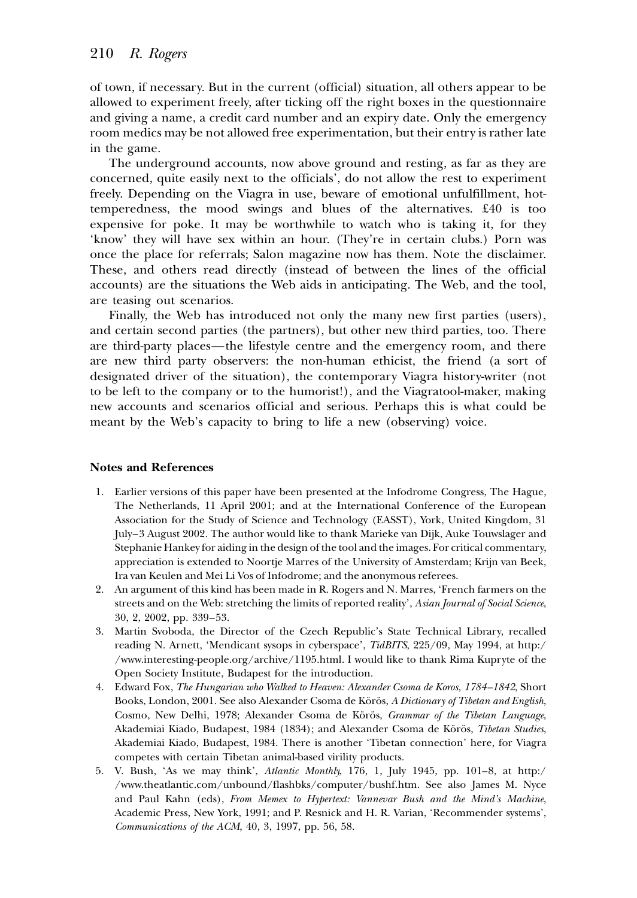of town, if necessary. But in the current (official) situation, all others appear to be allowed to experiment freely, after ticking off the right boxes in the questionnaire and giving a name, a credit card number and an expiry date. Only the emergency room medics may be not allowed free experimentation, but their entry is rather late in the game.

The underground accounts, now above ground and resting, as far as they are concerned, quite easily next to the officials', do not allow the rest to experiment freely. Depending on the Viagra in use, beware of emotional unfulfillment, hottemperedness, the mood swings and blues of the alternatives. £40 is too expensive for poke. It may be worthwhile to watch who is taking it, for they 'know' they will have sex within an hour. (They're in certain clubs.) Porn was once the place for referrals; Salon magazine now has them. Note the disclaimer. These, and others read directly (instead of between the lines of the official accounts) are the situations the Web aids in anticipating. The Web, and the tool, are teasing out scenarios.

Finally, the Web has introduced not only the many new first parties (users), and certain second parties (the partners), but other new third parties, too. There are third-party places—the lifestyle centre and the emergency room, and there are new third party observers: the non-human ethicist, the friend (a sort of designated driver of the situation), the contemporary Viagra history-writer (not to be left to the company or to the humorist!), and the Viagratool-maker, making new accounts and scenarios official and serious. Perhaps this is what could be meant by the Web's capacity to bring to life a new (observing) voice.

## **Notes and References**

- 1. Earlier versions of this paper have been presented at the Infodrome Congress, The Hague, The Netherlands, 11 April 2001; and at the International Conference of the European Association for the Study of Science and Technology (EASST), York, United Kingdom, 31 July–3 August 2002. The author would like to thank Marieke van Dijk, Auke Touwslager and Stephanie Hankey for aiding in the design of the tool and the images. For critical commentary, appreciation is extended to Noortje Marres of the University of Amsterdam; Krijn van Beek, Ira van Keulen and Mei Li Vos of Infodrome; and the anonymous referees.
- 2. An argument of this kind has been made in R. Rogers and N. Marres, 'French farmers on the streets and on the Web: stretching the limits of reported reality', *Asian Journal of Social Science*, 30, 2, 2002, pp. 339–53.
- 3. Martin Svoboda, the Director of the Czech Republic's State Technical Library, recalled reading N. Arnett, 'Mendicant sysops in cyberspace', *TidBITS*, 225/09, May 1994, at http:/ /www.interesting-people.org/archive/1195.html. I would like to thank Rima Kupryte of the Open Society Institute, Budapest for the introduction.
- 4. Edward Fox, *The Hungarian who Walked to Heaven: Alexander Csoma de Koros, 1784–1842*, Short Books, London, 2001. See also Alexander Csoma de Körös, A Dictionary of Tibetan and English, Cosmo, New Delhi, 1978; Alexander Csoma de Körös, Grammar of the Tibetan Language, Akademiai Kiado, Budapest, 1984 (1834); and Alexander Csoma de Körös, Tibetan Studies, Akademiai Kiado, Budapest, 1984. There is another 'Tibetan connection' here, for Viagra competes with certain Tibetan animal-based virility products.
- 5. V. Bush, 'As we may think', *Atlantic Monthly*, 176, 1, July 1945, pp. 101–8, at http:/ /www.theatlantic.com/unbound/flashbks/computer/bushf.htm. See also James M. Nyce and Paul Kahn (eds), *From Memex to Hypertext: Vannevar Bush and the Mind's Machine*, Academic Press, New York, 1991; and P. Resnick and H. R. Varian, 'Recommender systems', *Communications of the ACM*, 40, 3, 1997, pp. 56, 58.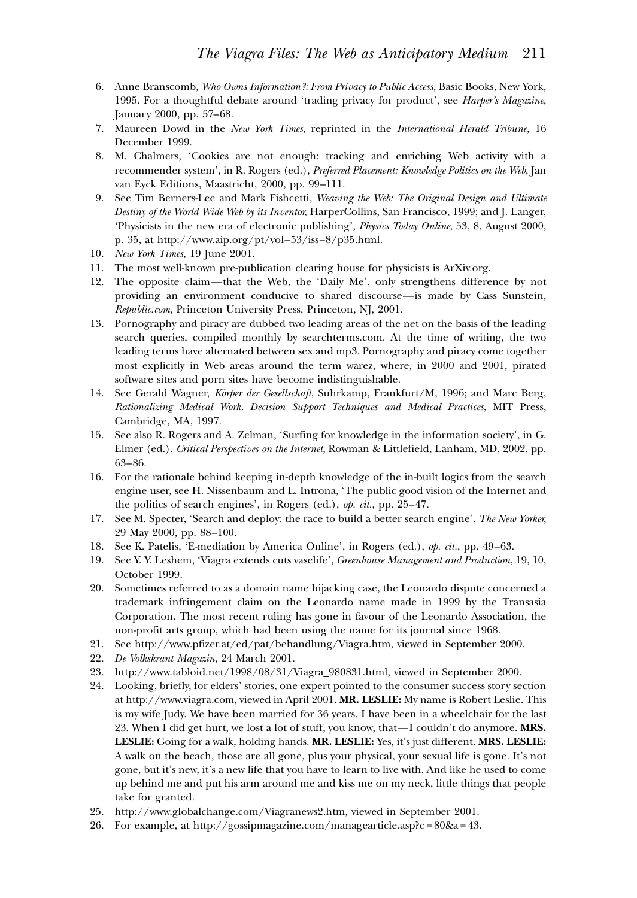- 6. Anne Branscomb, *Who Owns Information?: From Privacy to Public Access*, Basic Books, New York, 1995. For a thoughtful debate around 'trading privacy for product', see *Harper's Magazine*, January 2000, pp. 57–68.
- 7. Maureen Dowd in the *New York Times*, reprinted in the *International Herald Tribune*, 16 December 1999.
- 8. M. Chalmers, 'Cookies are not enough: tracking and enriching Web activity with a recommender system', in R. Rogers (ed.), *Preferred Placement: Knowledge Politics on the Web*, Jan van Eyck Editions, Maastricht, 2000, pp. 99–111.
- 9. See Tim Berners-Lee and Mark Fishcetti, *Weaving the Web: The Original Design and Ultimate Destiny of the World Wide Web by its Inventor*, HarperCollins, San Francisco, 1999; and J. Langer, 'Physicists in the new era of electronic publishing', *Physics Today Online*, 53, 8, August 2000, p. 35, at http://www.aip.org/pt/vol–53/iss–8/p35.html.
- 10. *New York Times*, 19 June 2001.
- 11. The most well-known pre-publication clearing house for physicists is ArXiv.org.
- 12. The opposite claim—that the Web, the 'Daily Me', only strengthens difference by not providing an environment conducive to shared discourse—is made by Cass Sunstein, *Republic.com*, Princeton University Press, Princeton, NJ, 2001.
- 13. Pornography and piracy are dubbed two leading areas of the net on the basis of the leading search queries, compiled monthly by searchterms.com. At the time of writing, the two leading terms have alternated between sex and mp3. Pornography and piracy come together most explicitly in Web areas around the term warez, where, in 2000 and 2001, pirated software sites and porn sites have become indistinguishable.
- 14. See Gerald Wagner, *Körper der Gesellschaft*, Suhrkamp, Frankfurt/M, 1996; and Marc Berg, *Rationalizing Medical Work. Decision Support Techniques and Medical Practices*, MIT Press, Cambridge, MA, 1997.
- 15. See also R. Rogers and A. Zelman, 'Surfing for knowledge in the information society', in G. Elmer (ed.), *Critical Perspectives on the Internet*, Rowman & Littlefield, Lanham, MD, 2002, pp. 63–86.
- 16. For the rationale behind keeping in-depth knowledge of the in-built logics from the search engine user, see H. Nissenbaum and L. Introna, 'The public good vision of the Internet and the politics of search engines', in Rogers (ed.), *op. cit.*, pp. 25–47.
- 17. See M. Specter, 'Search and deploy: the race to build a better search engine', *The New Yorker*, 29 May 2000, pp. 88–100.
- 18. See K. Patelis, 'E-mediation by America Online', in Rogers (ed.), *op. cit.*, pp. 49–63.
- 19. See Y. Y. Leshem, 'Viagra extends cuts vaselife', *Greenhouse Management and Production*, 19, 10, October 1999.
- 20. Sometimes referred to as a domain name hijacking case, the Leonardo dispute concerned a trademark infringement claim on the Leonardo name made in 1999 by the Transasia Corporation. The most recent ruling has gone in favour of the Leonardo Association, the non-profit arts group, which had been using the name for its journal since 1968.
- 21. See http://www.pfizer.at/ed/pat/behandlung/Viagra.htm, viewed in September 2000.
- 22. *De Volkskrant Magazin*, 24 March 2001.
- 23. http://www.tabloid.net/1998/08/31/Viagra\_980831.html, viewed in September 2000.
- 24. Looking, briefly, for elders' stories, one expert pointed to the consumer success story section at http://www.viagra.com, viewed in April 2001. **MR. LESLIE:** My name is Robert Leslie. This is my wife Judy. We have been married for 36 years. I have been in a wheelchair for the last 23. When I did get hurt, we lost a lot of stuff, you know, that—I couldn't do anymore. **MRS. LESLIE:** Going for a walk, holding hands. **MR. LESLIE:** Yes, it's just different. **MRS. LESLIE:** A walk on the beach, those are all gone, plus your physical, your sexual life is gone. It's not gone, but it's new, it's a new life that you have to learn to live with. And like he used to come up behind me and put his arm around me and kiss me on my neck, little things that people take for granted.
- 25. http://www.globalchange.com/Viagranews2.htm, viewed in September 2001.
- 26. For example, at http://gossipmagazine.com/managearticle.asp?c = 80&a = 43.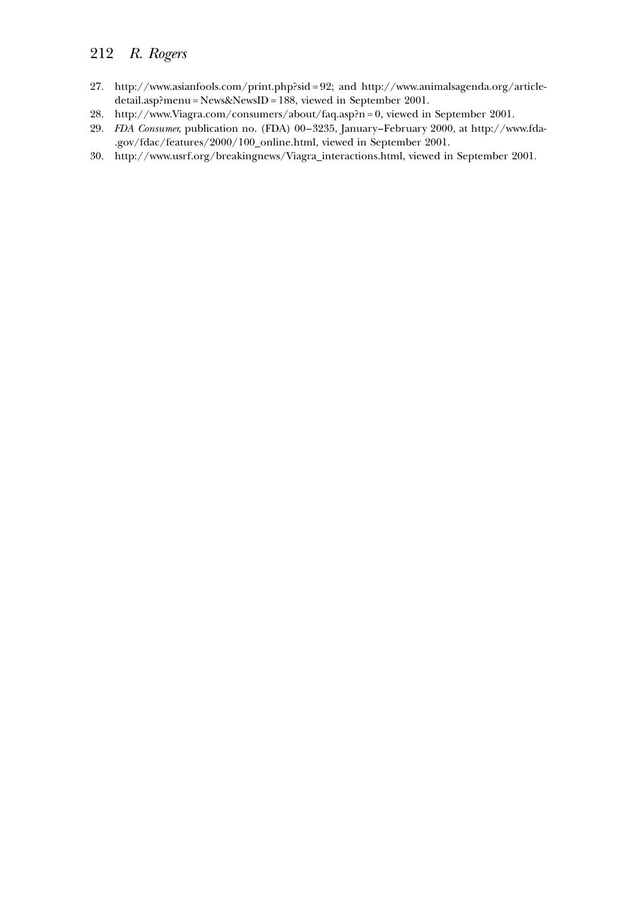# 212 *R. Rogers*

- 27. http://www.asianfools.com/print.php?sid = 92; and http://www.animalsagenda.org/articledetail.asp?menu = News&NewsID = 188, viewed in September 2001.
- 28. http://www.Viagra.com/consumers/about/faq.asp?n = 0, viewed in September 2001.
- 29. *FDA Consumer*, publication no. (FDA) 00–3235, January–February 2000, at http://www.fda- .gov/fdac/features/2000/100\_online.html, viewed in September 2001.
- 30. http://www.usrf.org/breakingnews/Viagra\_interactions.html, viewed in September 2001.